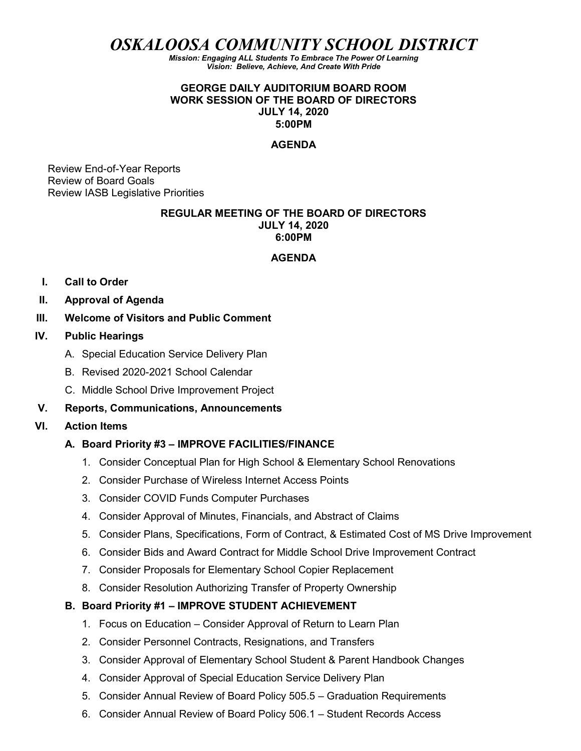OSKALOOSA COMMUNITY SCHOOL DISTRICT

Mission: Engaging ALL Students To Embrace The Power Of Learning Vision: Believe, Achieve, And Create With Pride

### GEORGE DAILY AUDITORIUM BOARD ROOM WORK SESSION OF THE BOARD OF DIRECTORS JULY 14, 2020 5:00PM

#### AGENDA

Review End-of-Year Reports Review of Board Goals Review IASB Legislative Priorities

### REGULAR MEETING OF THE BOARD OF DIRECTORS JULY 14, 2020 6:00PM

#### AGENDA

- I. Call to Order
- II. Approval of Agenda
- III. Welcome of Visitors and Public Comment

#### IV. Public Hearings

- A. Special Education Service Delivery Plan
- B. Revised 2020-2021 School Calendar
- C. Middle School Drive Improvement Project

### V. Reports, Communications, Announcements

### VI. Action Items

### A. Board Priority #3 – IMPROVE FACILITIES/FINANCE

- 1. Consider Conceptual Plan for High School & Elementary School Renovations
- 2. Consider Purchase of Wireless Internet Access Points
- 3. Consider COVID Funds Computer Purchases
- 4. Consider Approval of Minutes, Financials, and Abstract of Claims
- 5. Consider Plans, Specifications, Form of Contract, & Estimated Cost of MS Drive Improvement
- 6. Consider Bids and Award Contract for Middle School Drive Improvement Contract
- 7. Consider Proposals for Elementary School Copier Replacement
- 8. Consider Resolution Authorizing Transfer of Property Ownership

### B. Board Priority #1 – IMPROVE STUDENT ACHIEVEMENT

- 1. Focus on Education Consider Approval of Return to Learn Plan
- 2. Consider Personnel Contracts, Resignations, and Transfers
- 3. Consider Approval of Elementary School Student & Parent Handbook Changes
- 4. Consider Approval of Special Education Service Delivery Plan
- 5. Consider Annual Review of Board Policy 505.5 Graduation Requirements
- 6. Consider Annual Review of Board Policy 506.1 Student Records Access